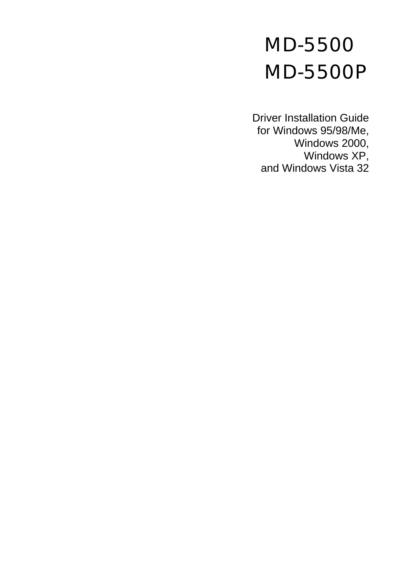# MD-5500 MD-5500P

Driver Installation Guide for Windows 95/98/Me, Windows 2000, Windows XP, and Windows Vista 32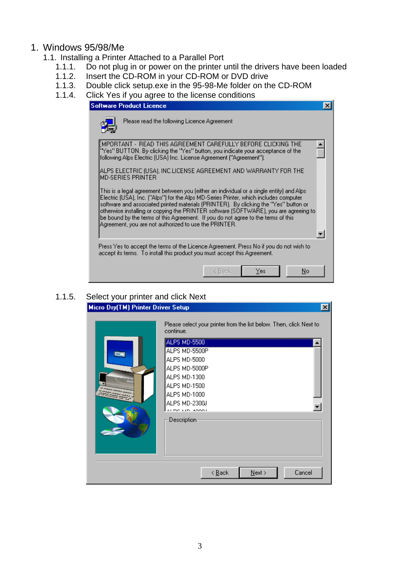## 1. Windows 95/98/Me

- 1.1. Installing a Printer Attached to a Parallel Port
	- 1.1.1. Do not plug in or power on the printer until the drivers have been loaded
	- 1.1.2. Insert the CD-ROM in your CD-ROM or DVD drive
	- 1.1.3. Double click setup.exe in the 95-98-Me folder on the CD-ROM
	- 1.1.4. Click Yes if you agree to the license conditions

| <b>Software Product Licence</b>                                                                                                                                                                                                                                                                                                                                                                                                                                                                                   |  |  |  |
|-------------------------------------------------------------------------------------------------------------------------------------------------------------------------------------------------------------------------------------------------------------------------------------------------------------------------------------------------------------------------------------------------------------------------------------------------------------------------------------------------------------------|--|--|--|
| Please read the following Licence Agreement                                                                                                                                                                                                                                                                                                                                                                                                                                                                       |  |  |  |
| [MPORTANT - READ THIS AGREEMENT CAREFULLY BEFORE CLICKING THE<br>"Yes" BUTTON. By clicking the "Yes" button, you indicate your acceptance of the<br>[following Alps Electric (USA) Inc. License Agreement ("Agreement").                                                                                                                                                                                                                                                                                          |  |  |  |
| ALPS ELECTRIC (USA), INC.LICENSE AGREEMENT AND WARRANTY FOR THE<br>MD-SERIES PRINTER                                                                                                                                                                                                                                                                                                                                                                                                                              |  |  |  |
| This is a legal agreement between you feither an individual or a single entity) and Alps.<br>Electric (USA), Inc. ("Alps") for the Alps MD-Series Printer, which includes computer<br>software and associated printed materials (PRINTER). By clicking the "Yes" button or<br>otherwise installing or copying the PRINTER software (SOFTWARE), you are agreeing to:<br>be bound by the terms of this Agreement. If you do not agree to the terms of this<br>Agreement, you are not authorized to use the PRINTER. |  |  |  |
| Press Yes to accept the terms of the Licence Agreement. Press No if you do not wish to<br>accept its terms. To install this product you must accept this Agreement.                                                                                                                                                                                                                                                                                                                                               |  |  |  |
| Yes<br>No<br>< Back                                                                                                                                                                                                                                                                                                                                                                                                                                                                                               |  |  |  |

#### 1.1.5. Select your printer and click Next

| Micro Dry(TM) Printer Driver Setup |                                                                                                                                                                                                                     | $\boldsymbol{\mathsf{x}}$ |
|------------------------------------|---------------------------------------------------------------------------------------------------------------------------------------------------------------------------------------------------------------------|---------------------------|
|                                    | Please select your printer from the list below. Then, click Next to<br>continue.<br>ALPS MD-5500<br>ALPS MD-5500P<br>ALPS MD-5000<br>ALPS MD-5000P<br>ALPS MD-1300<br>ALPS MD-1500<br>ALPS MD-1000<br>ALPS MD-2300J |                           |
|                                    | ALOG LID ROOGL<br>Description<br>$N$ ext ><br>$\leq$ $\underline{B}$ ack<br>Cancel                                                                                                                                  |                           |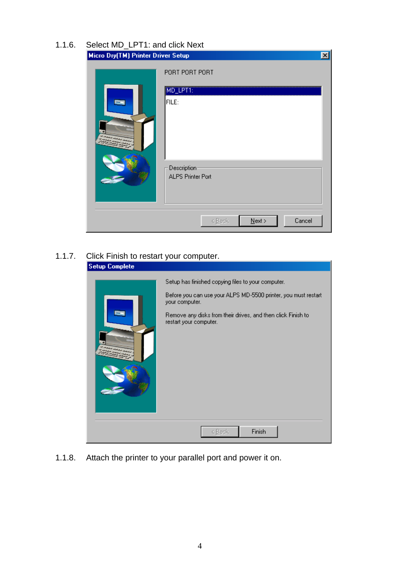| 1.1.6. Select MD_LPT1: and click Next |  |  |
|---------------------------------------|--|--|
|                                       |  |  |

| Micro Dry(TM) Printer Driver Setup |                                                                                | $\vert x \vert$ |
|------------------------------------|--------------------------------------------------------------------------------|-----------------|
|                                    | PORT PORT PORT<br>MD_LPT1:<br>FILE:<br>Description<br><b>ALPS Printer Port</b> |                 |
|                                    | Cancel<br>$N$ ext ><br>< Back                                                  |                 |

## 1.1.7. Click Finish to restart your computer.

| <b>Setup Complete</b> |                                                                                                                                                                                                                                  |
|-----------------------|----------------------------------------------------------------------------------------------------------------------------------------------------------------------------------------------------------------------------------|
|                       | Setup has finished copying files to your computer.<br>Before you can use your ALPS MD-5500 printer, you must restart<br>your computer.<br>Remove any disks from their drives, and then click Finish to<br>restart your computer. |
|                       | Finish<br>< Back                                                                                                                                                                                                                 |

1.1.8. Attach the printer to your parallel port and power it on.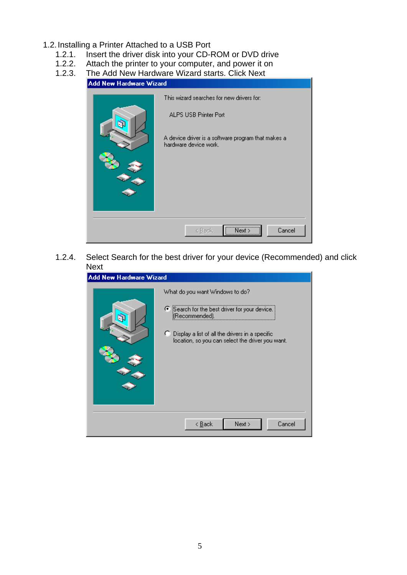- 1.2. Installing a Printer Attached to a USB Port
	- 1.2.1. Insert the driver disk into your CD-ROM or DVD drive
	- 1.2.2. Attach the printer to your computer, and power it on
	- 1.2.3. The Add New Hardware Wizard starts. Click Next

| <b>Add New Hardware Wizard</b> |                                                                                                                                                          |  |  |  |  |
|--------------------------------|----------------------------------------------------------------------------------------------------------------------------------------------------------|--|--|--|--|
|                                | This wizard searches for new drivers for:<br><b>ALPS USB Printer Port</b><br>A device driver is a software program that makes a<br>hardware device work. |  |  |  |  |
|                                | Next ><br>Cancel<br>< Back                                                                                                                               |  |  |  |  |

1.2.4. Select Search for the best driver for your device (Recommended) and click Next

| <b>Add New Hardware Wizard</b> |                                                                                                                                                                                                              |  |  |  |  |
|--------------------------------|--------------------------------------------------------------------------------------------------------------------------------------------------------------------------------------------------------------|--|--|--|--|
|                                | What do you want Windows to do?<br>● Search for the best driver for your device.<br>[(Recommended).<br>C Display a list of all the drivers in a specific<br>location, so you can select the driver you want. |  |  |  |  |
|                                | Next ><br>Cancel<br>< <u>B</u> ack                                                                                                                                                                           |  |  |  |  |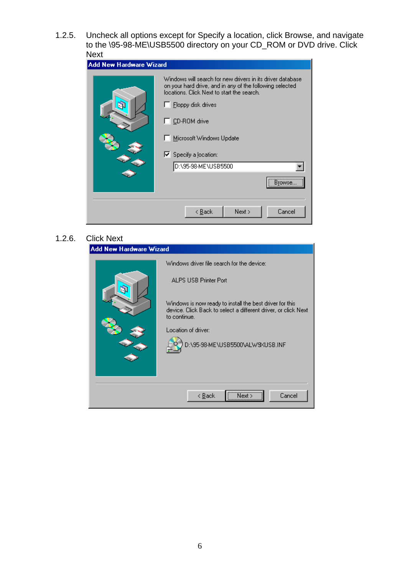1.2.5. Uncheck all options except for Specify a location, click Browse, and navigate to the \95-98-ME\USB5500 directory on your CD\_ROM or DVD drive. Click Next

| Add New Hardware Wizard |                                                                                                                                                                                                                                                                                                                                  |  |  |  |
|-------------------------|----------------------------------------------------------------------------------------------------------------------------------------------------------------------------------------------------------------------------------------------------------------------------------------------------------------------------------|--|--|--|
|                         | Windows will search for new drivers in its driver database<br>on your hard drive, and in any of the following selected<br>locations. Click Next to start the search.<br>$\Box$ Eloppy disk drives<br>$\Box$ CD-ROM drive<br>Microsoft Windows Update<br>$\nabla$ Specify a location:<br>D:\95-98-ME\USB5500<br><br><b>Browse</b> |  |  |  |
|                         | Cancel<br>Next ><br>< <u>B</u> ack                                                                                                                                                                                                                                                                                               |  |  |  |

## 1.2.6. Click Next

| <b>Add New Hardware Wizard</b> |                                                                                                                                                                                                       |  |  |  |  |
|--------------------------------|-------------------------------------------------------------------------------------------------------------------------------------------------------------------------------------------------------|--|--|--|--|
|                                | Windows driver file search for the device:<br><b>ALPS USB Printer Port</b>                                                                                                                            |  |  |  |  |
|                                | Windows is now ready to install the best driver for this<br>device. Click Back to select a different driver, or click Next<br>to continue.<br>Location of driver:<br>D:\95-98-ME\USB5500\ALW9XUSB.INF |  |  |  |  |
|                                | Cancel<br>< <u>B</u> ack                                                                                                                                                                              |  |  |  |  |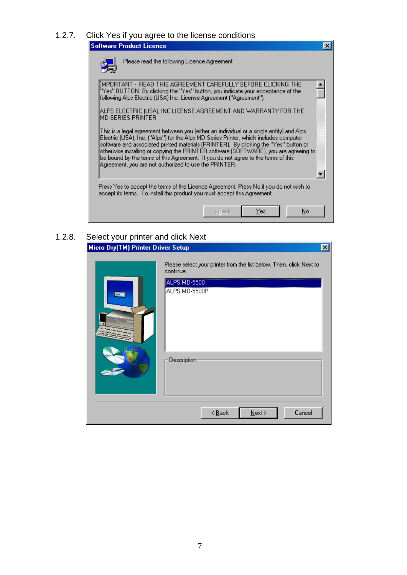1.2.7. Click Yes if you agree to the license conditions

| Software Product Licence                                                                                                                                                                                                                                                                                                                                                                                                                                                                                          |                                                                                                                                                                                                                        |        |     |    | × |
|-------------------------------------------------------------------------------------------------------------------------------------------------------------------------------------------------------------------------------------------------------------------------------------------------------------------------------------------------------------------------------------------------------------------------------------------------------------------------------------------------------------------|------------------------------------------------------------------------------------------------------------------------------------------------------------------------------------------------------------------------|--------|-----|----|---|
|                                                                                                                                                                                                                                                                                                                                                                                                                                                                                                                   | Please read the following Licence Agreement                                                                                                                                                                            |        |     |    |   |
|                                                                                                                                                                                                                                                                                                                                                                                                                                                                                                                   | MPORTANT - READ THIS AGREEMENT CAREFULLY BEFORE CLICKING THE<br>"Yes" BUTTON. By clicking the "Yes" button, you indicate your acceptance of the<br>following Alps Electric (USA) Inc. License Agreement ("Agreement"). |        |     |    |   |
| MD-SERIES PRINTER                                                                                                                                                                                                                                                                                                                                                                                                                                                                                                 | ALPS ELECTRIC (USA), INC.LICENSE AGREEMENT AND WARRANTY FOR THE                                                                                                                                                        |        |     |    |   |
| This is a legal agreement between you feither an individual or a single entity) and Alps.<br>Electric (USA), Inc. ("Alps") for the Alps MD-Series Printer, which includes computer<br>software and associated printed materials (PRINTER). By clicking the "Yes" button or<br>otherwise installing or copying the PRINTER software (SOFTWARE), you are agreeing to:<br>be bound by the terms of this Agreement. If you do not agree to the terms of this<br>Agreement, you are not authorized to use the PRINTER. |                                                                                                                                                                                                                        |        |     |    |   |
|                                                                                                                                                                                                                                                                                                                                                                                                                                                                                                                   | Press Yes to accept the terms of the Licence Agreement. Press No if you do not wish to<br>accept its terms. To install this product you must accept this Agreement.                                                    |        |     |    |   |
|                                                                                                                                                                                                                                                                                                                                                                                                                                                                                                                   |                                                                                                                                                                                                                        | < Back | Yes | No |   |

## 1.2.8. Select your printer and click Next<br>Micro Dry(TM) Printer Driver Setup

|                                    |                                                                                                                   | $\vert x \vert$ |
|------------------------------------|-------------------------------------------------------------------------------------------------------------------|-----------------|
| Micro Dry(TM) Printer Driver Setup | Please select your printer from the list below. Then, click Next to<br>continue.<br>ALPS MD-5500<br>ALPS MD-5500P |                 |
|                                    | Description<br>$\leq$ $\underline{\mathsf{B}}$ ack<br>$N$ ext ><br>Cancel                                         |                 |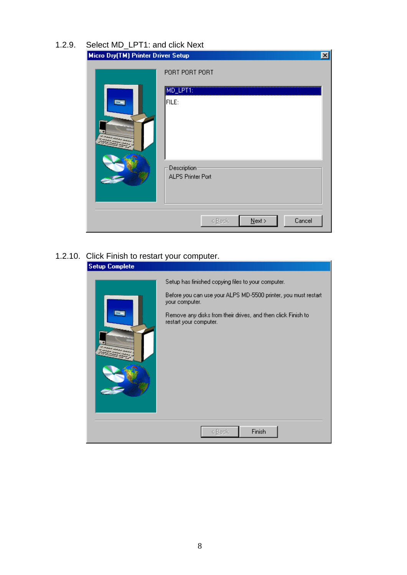| 1.2.9. Select MD LPT1: and click Next |  |  |
|---------------------------------------|--|--|
|                                       |  |  |

| Micro Dry(TM) Printer Driver Setup |                                                           | $\vert x \vert$ |
|------------------------------------|-----------------------------------------------------------|-----------------|
|                                    | PORT PORT PORT<br>MD_LPT1:<br>FILE:                       |                 |
|                                    | Description                                               |                 |
|                                    | <b>ALPS Printer Port</b><br>Cancel<br>$N$ ext ><br>< Back |                 |

## 1.2.10. Click Finish to restart your computer.

| <b>Setup Complete</b> |                                                                                                                                                                                                                                  |
|-----------------------|----------------------------------------------------------------------------------------------------------------------------------------------------------------------------------------------------------------------------------|
|                       | Setup has finished copying files to your computer.<br>Before you can use your ALPS MD-5500 printer, you must restart<br>your computer.<br>Remove any disks from their drives, and then click Finish to<br>restart your computer. |
|                       | Finish<br>< Back                                                                                                                                                                                                                 |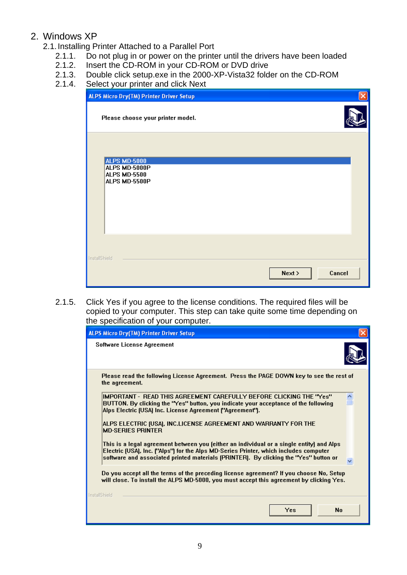## 2. Windows XP

- 2.1. Installing Printer Attached to a Parallel Port
	- 2.1.1. Do not plug in or power on the printer until the drivers have been loaded
	- 2.1.2. Insert the CD-ROM in your CD-ROM or DVD drive
	- 2.1.3. Double click setup.exe in the 2000-XP-Vista32 folder on the CD-ROM
	- 2.1.4. Select your printer and click Next

| <b>ALPS Micro Dry(TM) Printer Driver Setup</b>                        | $\times$         |
|-----------------------------------------------------------------------|------------------|
| Please choose your printer model.                                     |                  |
| <b>ALPS MD-5000</b><br>ALPS MD-5000P<br>ALPS MD-5500<br>ALPS MD-5500P |                  |
| InstallShield                                                         | Cancel<br>Next > |

2.1.5. Click Yes if you agree to the license conditions. The required files will be copied to your computer. This step can take quite some time depending on the specification of your computer.

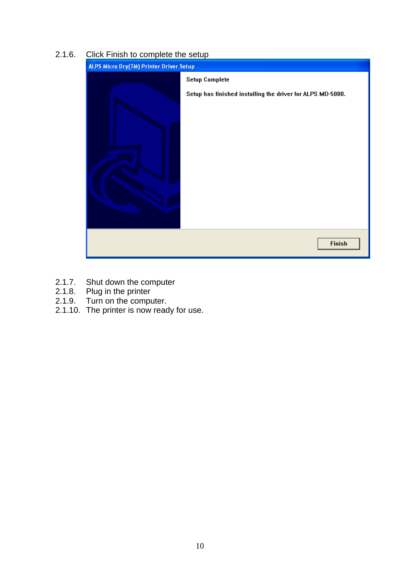#### 2.1.6. Click Finish to complete the setup



- 2.1.7. Shut down the computer<br>2.1.8. Plug in the printer
- Plug in the printer
- 2.1.9. Turn on the computer.
- 2.1.10. The printer is now ready for use.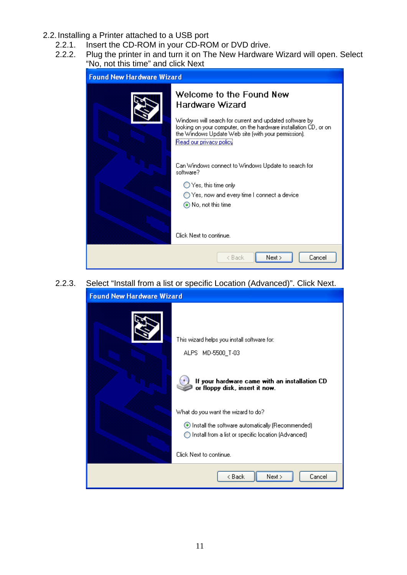- 2.2. Installing a Printer attached to a USB port
	- 2.2.1. Insert the CD-ROM in your CD-ROM or DVD drive.
	- 2.2.2. Plug the printer in and turn it on The New Hardware Wizard will open. Select "No, not this time" and click Next

| <b>Found New Hardware Wizard</b> |                                                                                                                                                                                                                |
|----------------------------------|----------------------------------------------------------------------------------------------------------------------------------------------------------------------------------------------------------------|
|                                  | Welcome to the Found New<br>Hardware Wizard                                                                                                                                                                    |
|                                  | Windows will search for current and updated software by<br>looking on your computer, on the hardware installation CD, or on-<br>the Windows Update Web site (with your permission).<br>Read our privacy policy |
|                                  | Can Windows connect to Windows Update to search for<br>software?                                                                                                                                               |
|                                  | $\bigcirc$ Yes, this time only                                                                                                                                                                                 |
|                                  | ◯ Yes, now and every time I connect a device                                                                                                                                                                   |
|                                  | ◉ No, not this time                                                                                                                                                                                            |
|                                  |                                                                                                                                                                                                                |
|                                  | Click Next to continue.                                                                                                                                                                                        |
|                                  | Next ><br>< Back<br>Cancel                                                                                                                                                                                     |

2.2.3. Select "Install from a list or specific Location (Advanced)". Click Next. **Found New Hardware Wizard** 

| This wizard helps you install software for:                                     |
|---------------------------------------------------------------------------------|
| ALPS MD-5500_T-03                                                               |
| If your hardware came with an installation CD<br>or floppy disk, insert it now. |
| What do you want the wizard to do?                                              |
| Install the software automatically (Recommended)                                |
| ◯ Install from a list or specific location (Advanced)                           |
| Click Next to continue.                                                         |
| Next ><br>< Back<br>Cancel                                                      |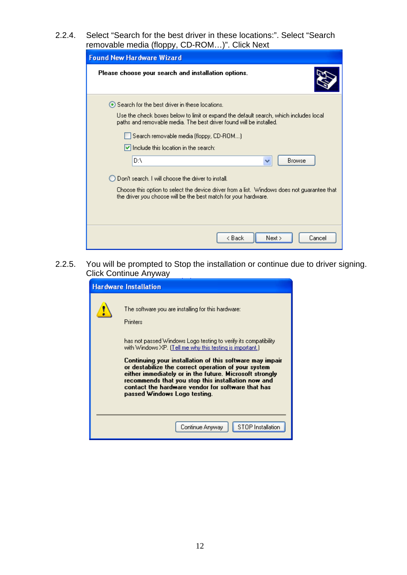2.2.4. Select "Search for the best driver in these locations:". Select "Search removable media (floppy, CD-ROM…)". Click Next

| .<br><b>Found New Hardware Wizard</b>                                                                                                                          |
|----------------------------------------------------------------------------------------------------------------------------------------------------------------|
| Please choose your search and installation options.                                                                                                            |
| Search for the best driver in these locations.                                                                                                                 |
| Use the check boxes below to limit or expand the default search, which includes local<br>paths and removable media. The best driver found will be installed.   |
| Search removable media (floppy, CD-ROM)                                                                                                                        |
| $\blacktriangleright$ Include this location in the search:                                                                                                     |
| D۸<br>Browse<br>v                                                                                                                                              |
| Don't search. I will choose the driver to install.                                                                                                             |
| Choose this option to select the device driver from a list. Windows does not guarantee that<br>the driver you choose will be the best match for your hardware. |
|                                                                                                                                                                |
|                                                                                                                                                                |
| < Back<br>Next ><br>Cancel                                                                                                                                     |

2.2.5. You will be prompted to Stop the installation or continue due to driver signing. Click Continue Anyway

| <b>Hardware Installation</b>                                                                                                                                                                                                                                                                                                                                                                                                                                                                                             |
|--------------------------------------------------------------------------------------------------------------------------------------------------------------------------------------------------------------------------------------------------------------------------------------------------------------------------------------------------------------------------------------------------------------------------------------------------------------------------------------------------------------------------|
| The software you are installing for this hardware:<br>Printers<br>has not passed Windows Logo testing to verify its compatibility.<br>with Windows XP. (Tell me why this testing is important.)<br>Continuing your installation of this software may impair<br>or destabilize the correct operation of your system<br>either immediately or in the future. Microsoft strongly<br>recommends that you stop this installation now and<br>contact the hardware vendor for software that has<br>passed Windows Logo testing. |
| <b>STOP</b> Installation<br>Continue Anyway                                                                                                                                                                                                                                                                                                                                                                                                                                                                              |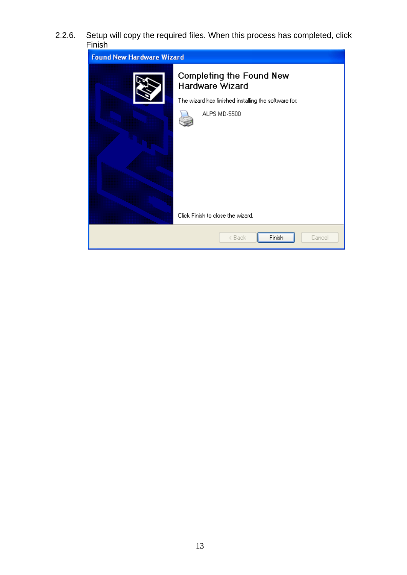2.2.6. Setup will copy the required files. When this process has completed, click Finish

| <b>Found New Hardware Wizard</b> |                                                                                                                                                                        |
|----------------------------------|------------------------------------------------------------------------------------------------------------------------------------------------------------------------|
|                                  | <b>Completing the Found New</b><br><b>Hardware Wizard</b><br>The wizard has finished installing the software for:<br>ALPS MD-5500<br>Click Finish to close the wizard. |
|                                  | Finish<br>< Back<br>Cancel                                                                                                                                             |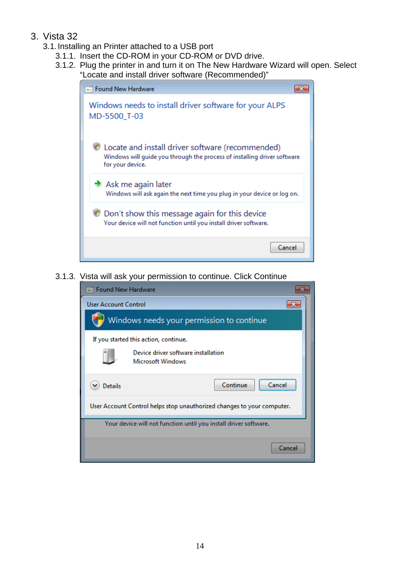- 3. Vista 32
	- 3.1. Installing an Printer attached to a USB port
		- 3.1.1. Insert the CD-ROM in your CD-ROM or DVD drive.
			- 3.1.2. Plug the printer in and turn it on The New Hardware Wizard will open. Select "Locate and install driver software (Recommended)"

| +- Found New Hardware                                                                                                                            |
|--------------------------------------------------------------------------------------------------------------------------------------------------|
| Windows needs to install driver software for your ALPS<br>MD-5500 T-03                                                                           |
| Locate and install driver software (recommended)<br>Windows will guide you through the process of installing driver software<br>for your device. |
| $\rightarrow$ Ask me again later<br>Windows will ask again the next time you plug in your device or log on.                                      |
| Don't show this message again for this device<br>Your device will not function until you install driver software.                                |
| Cancel                                                                                                                                           |

3.1.3. Vista will ask your permission to continue. Click Continue

| <b>Found New Hardware</b>                                              |
|------------------------------------------------------------------------|
| <b>User Account Control</b>                                            |
| Windows needs your permission to continue                              |
| If you started this action, continue.                                  |
| Device driver software installation<br><b>Microsoft Windows</b>        |
| Cancel<br>Continue<br><b>Details</b>                                   |
| User Account Control helps stop unauthorized changes to your computer. |
| Your device will not function until you install driver software.       |
| Cancel                                                                 |